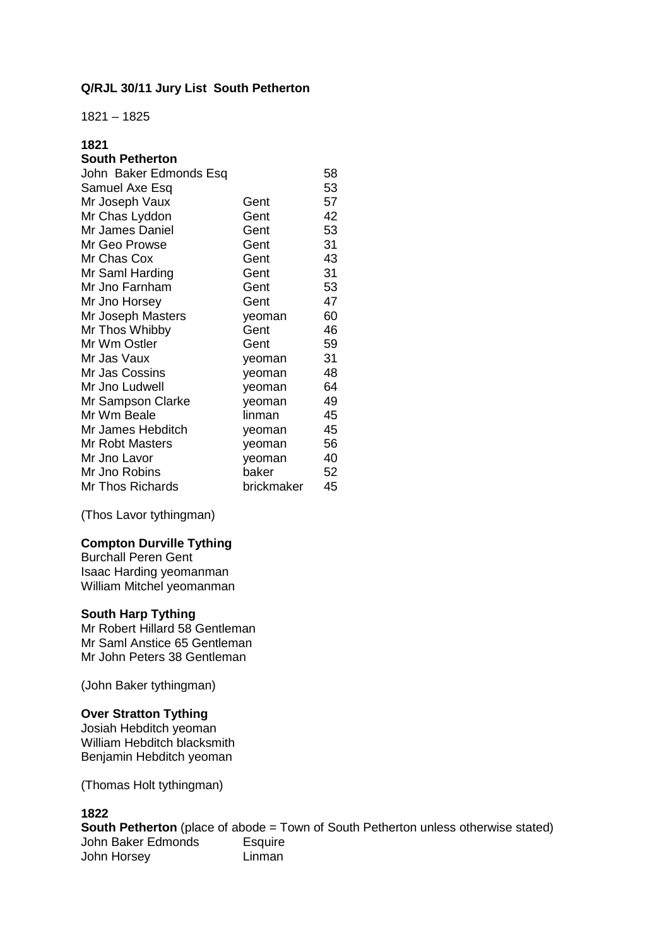## **Q/RJL 30/11 Jury List South Petherton**

1821 – 1825

## **1821**

## **South Petherton**

| John Baker Edmonds Esq |            | 58 |
|------------------------|------------|----|
| Samuel Axe Esq         |            | 53 |
| Mr Joseph Vaux         | Gent       | 57 |
| Mr Chas Lyddon         | Gent       | 42 |
| Mr James Daniel        | Gent       | 53 |
| Mr Geo Prowse          | Gent       | 31 |
| Mr Chas Cox            | Gent       | 43 |
| Mr Saml Harding        | Gent       | 31 |
| Mr Jno Farnham         | Gent       | 53 |
| Mr Jno Horsey          | Gent       | 47 |
| Mr Joseph Masters      | yeoman     | 60 |
| Mr Thos Whibby         | Gent       | 46 |
| Mr Wm Ostler           | Gent       | 59 |
| Mr Jas Vaux            | yeoman     | 31 |
| Mr Jas Cossins         | yeoman     | 48 |
| Mr Jno Ludwell         | yeoman     | 64 |
| Mr Sampson Clarke      | yeoman     | 49 |
| Mr Wm Beale            | linman     | 45 |
| Mr James Hebditch      | yeoman     | 45 |
| <b>Mr Robt Masters</b> | yeoman     | 56 |
| Mr Jno Lavor           | yeoman     | 40 |
| Mr Jno Robins          | baker      | 52 |
| Mr Thos Richards       | brickmaker | 45 |

(Thos Lavor tythingman)

#### **Compton Durville Tything**

Burchall Peren Gent Isaac Harding yeomanman William Mitchel yeomanman

#### **South Harp Tything**

Mr Robert Hillard 58 Gentleman Mr Saml Anstice 65 Gentleman Mr John Peters 38 Gentleman

(John Baker tythingman)

### **Over Stratton Tything**

Josiah Hebditch yeoman William Hebditch blacksmith Benjamin Hebditch yeoman

(Thomas Holt tythingman)

## **1822**

**South Petherton** (place of abode = Town of South Petherton unless otherwise stated) John Baker Edmonds Esquire John Horsey **Linman**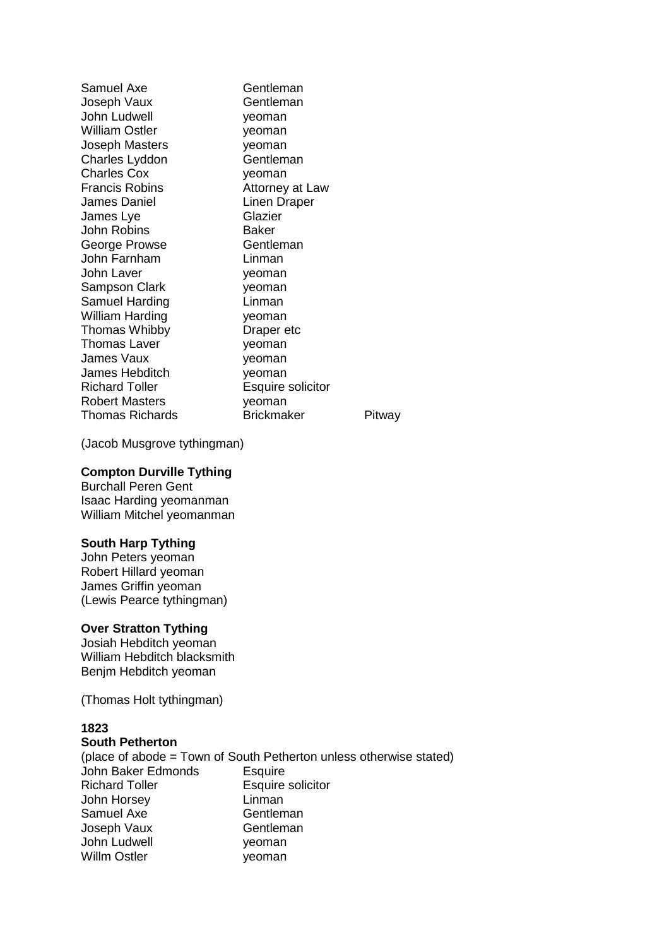Samuel Axe Gentleman Joseph Vaux Gentleman John Ludwell **yeoman** William Ostler **yeoman** Joseph Masters yeoman Charles Lyddon Gentleman Charles Cox veoman Francis Robins **Attorney at Law** James Daniel **Linen Draper** James Lye Glazier John Robins Baker George Prowse **Gentleman** John Farnham Linman John Laver **yeoman** Sampson Clark yeoman Samuel Harding **Linman** William Harding **yeoman** Thomas Whibby **Draper etc** Thomas Laver **yeoman** James Vaux **yeoman** James Hebditch yeoman Richard Toller **Esquire solicitor** Robert Masters **yeoman** Thomas Richards **Brickmaker** Pitway

(Jacob Musgrove tythingman)

#### **Compton Durville Tything**

Burchall Peren Gent Isaac Harding yeomanman William Mitchel yeomanman

### **South Harp Tything**

John Peters yeoman Robert Hillard yeoman James Griffin yeoman (Lewis Pearce tythingman)

#### **Over Stratton Tything**

Josiah Hebditch yeoman William Hebditch blacksmith Benjm Hebditch yeoman

(Thomas Holt tythingman)

## **1823**

#### **South Petherton**

(place of abode = Town of South Petherton unless otherwise stated) John Baker Edmonds Esquire Richard Toller **Esquire solicitor** John Horsey Linman Samuel Axe Gentleman Joseph Vaux Gentleman John Ludwell **yeoman** Willm Ostler yeoman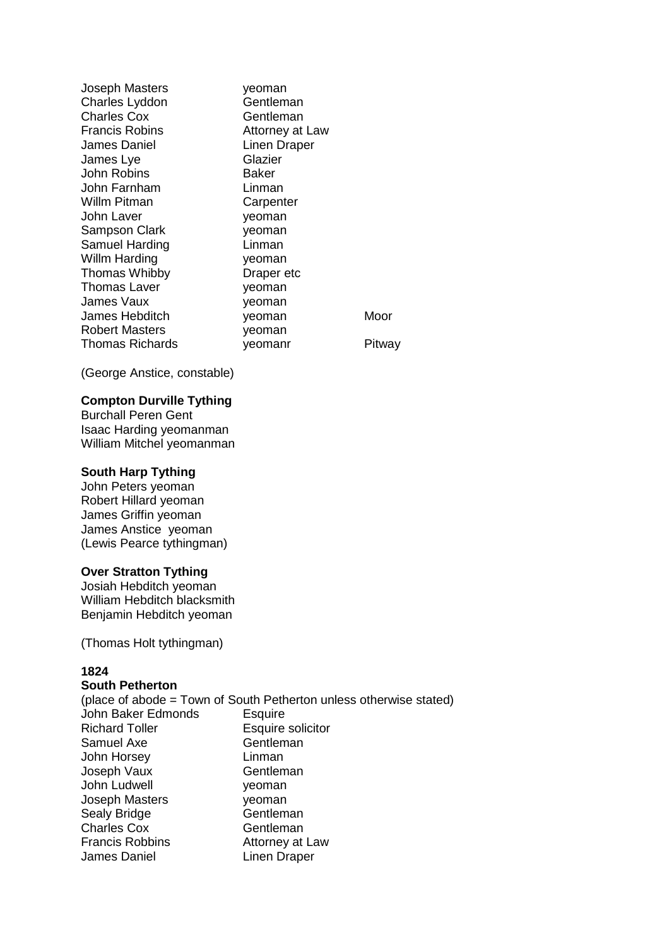| Joseph Masters     | yeoman          |        |
|--------------------|-----------------|--------|
| Charles Lyddon     | Gentleman       |        |
| <b>Charles Cox</b> | Gentleman       |        |
| Francis Robins     | Attorney at Law |        |
| James Daniel       | Linen Draper    |        |
| James Lye          | Glazier         |        |
| John Robins        | Baker           |        |
| John Farnham       | Linman          |        |
| Willm Pitman       | Carpenter       |        |
| John Laver         | yeoman          |        |
| Sampson Clark      | yeoman          |        |
| Samuel Harding     | Linman          |        |
| Willm Harding      | yeoman          |        |
| Thomas Whibby      | Draper etc      |        |
| Thomas Laver       | yeoman          |        |
| James Vaux         | yeoman          |        |
| James Hebditch     | yeoman          | Moor   |
| Robert Masters     | yeoman          |        |
| Thomas Richards    | yeomanr         | Pitway |

(George Anstice, constable)

#### **Compton Durville Tything**

Burchall Peren Gent Isaac Harding yeomanman William Mitchel yeomanman

#### **South Harp Tything**

John Peters yeoman Robert Hillard yeoman James Griffin yeoman James Anstice yeoman (Lewis Pearce tythingman)

#### **Over Stratton Tything**

Josiah Hebditch yeoman William Hebditch blacksmith Benjamin Hebditch yeoman

(Thomas Holt tythingman)

#### **1824**

# **South Petherton**

|                        | (place of abode = Town of South Petherton unless otherwise stated) |
|------------------------|--------------------------------------------------------------------|
| John Baker Edmonds     | <b>Esquire</b>                                                     |
| <b>Richard Toller</b>  | Esquire solicitor                                                  |
| Samuel Axe             | Gentleman                                                          |
| John Horsey            | Linman                                                             |
| Joseph Vaux            | Gentleman                                                          |
| John Ludwell           | yeoman                                                             |
| <b>Joseph Masters</b>  | yeoman                                                             |
| Sealy Bridge           | Gentleman                                                          |
| <b>Charles Cox</b>     | Gentleman                                                          |
| <b>Francis Robbins</b> | Attorney at Law                                                    |
| James Daniel           | <b>Linen Draper</b>                                                |
|                        |                                                                    |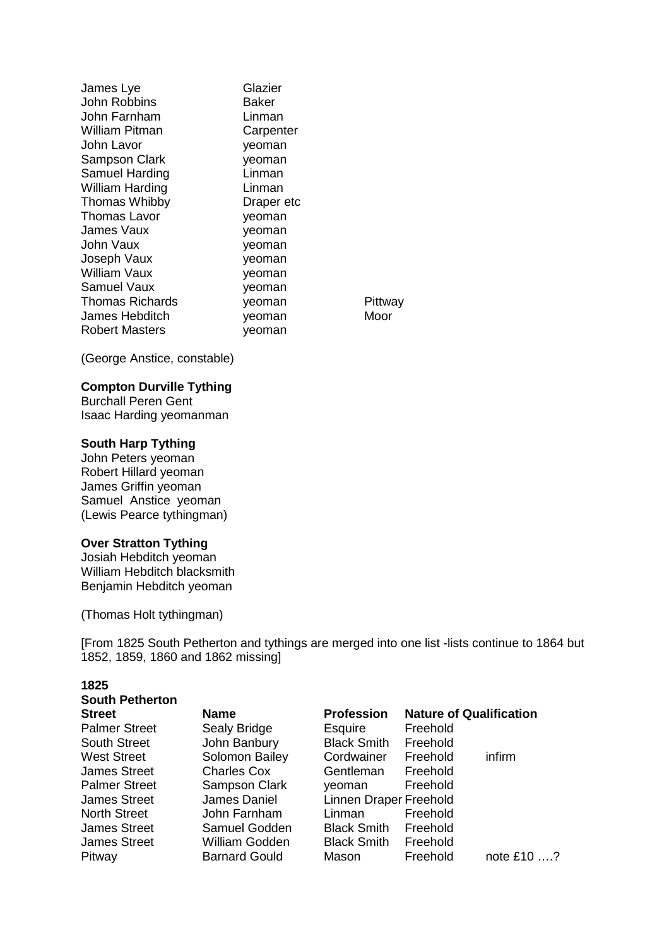| James Lye              | Glazier    |        |
|------------------------|------------|--------|
| <b>John Robbins</b>    | Baker      |        |
| John Farnham           | Linman     |        |
| William Pitman         | Carpenter  |        |
| John Lavor             | yeoman     |        |
| Sampson Clark          | yeoman     |        |
| Samuel Harding         | Linman     |        |
| William Harding        | Linman     |        |
| <b>Thomas Whibby</b>   | Draper etc |        |
| Thomas Lavor           | yeoman     |        |
| James Vaux             | yeoman     |        |
| John Vaux              | yeoman     |        |
| Joseph Vaux            | yeoman     |        |
| William Vaux           | yeoman     |        |
| Samuel Vaux            | yeoman     |        |
| <b>Thomas Richards</b> | yeoman     | Pittwa |
| James Hebditch         | yeoman     | Moor   |
| Robert Masters         | veoman     |        |

Pittway<br>Moor

(George Anstice, constable)

## **Compton Durville Tything**

Burchall Peren Gent Isaac Harding yeomanman

#### **South Harp Tything**

John Peters yeoman Robert Hillard yeoman James Griffin yeoman Samuel Anstice yeoman (Lewis Pearce tythingman)

#### **Over Stratton Tything**

Josiah Hebditch yeoman William Hebditch blacksmith Benjamin Hebditch yeoman

(Thomas Holt tythingman)

[From 1825 South Petherton and tythings are merged into one list -lists continue to 1864 but 1852, 1859, 1860 and 1862 missing]

#### **1825**

| <b>South Petherton</b> |                      |                        |                                |             |
|------------------------|----------------------|------------------------|--------------------------------|-------------|
| <b>Street</b>          | <b>Name</b>          | <b>Profession</b>      | <b>Nature of Qualification</b> |             |
| <b>Palmer Street</b>   | Sealy Bridge         | Esquire                | Freehold                       |             |
| <b>South Street</b>    | John Banbury         | <b>Black Smith</b>     | Freehold                       |             |
| <b>West Street</b>     | Solomon Bailey       | Cordwainer             | Freehold                       | infirm      |
| <b>James Street</b>    | <b>Charles Cox</b>   | Gentleman              | Freehold                       |             |
| <b>Palmer Street</b>   | <b>Sampson Clark</b> | veoman                 | Freehold                       |             |
| <b>James Street</b>    | James Daniel         | Linnen Draper Freehold |                                |             |
| <b>North Street</b>    | John Farnham         | Linman                 | Freehold                       |             |
| <b>James Street</b>    | Samuel Godden        | <b>Black Smith</b>     | Freehold                       |             |
| <b>James Street</b>    | William Godden       | <b>Black Smith</b>     | Freehold                       |             |
| Pitway                 | <b>Barnard Gould</b> | Mason                  | Freehold                       | note $£10?$ |